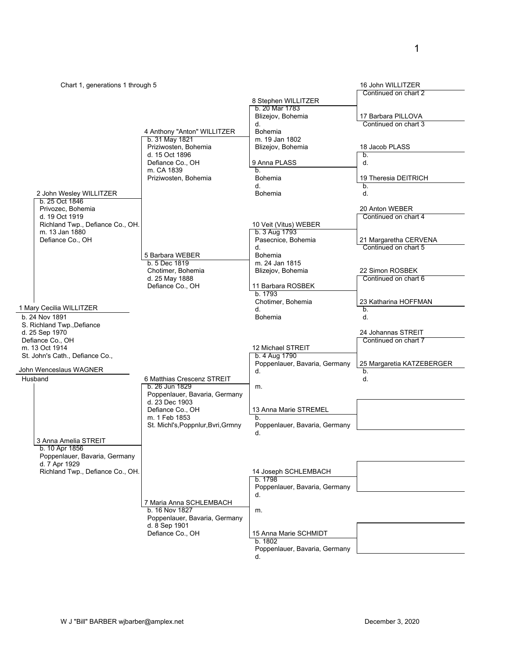| Chart 1, generations 1 through 5<br>Continued on chart 2<br>8 Stephen WILLITZER<br>b. 20 Mar 1783<br>Blizejov, Bohemia<br>17 Barbara PILLOVA<br>Continued on chart 3<br>d.<br><b>Bohemia</b><br>4 Anthony "Anton" WILLITZER<br>b. 31 May 1821<br>m. 19 Jan 1802<br>Priziwosten, Bohemia<br>Blizejov, Bohemia<br>18 Jacob PLASS<br>d. 15 Oct 1896<br>b.<br>Defiance Co., OH<br>9 Anna PLASS<br>d.<br>m. CA 1839<br>b.<br>Priziwosten, Bohemia<br><b>Bohemia</b><br>19 Theresia DEITRICH<br>d.<br>b <sub>1</sub><br>2 John Wesley WILLITZER<br><b>Bohemia</b><br>d.<br>b. 25 Oct 1846<br>Privozec, Bohemia<br>20 Anton WEBER<br>d. 19 Oct 1919<br>Continued on chart 4<br>Richland Twp., Defiance Co., OH.<br>10 Veit (Vitus) WEBER<br>b. 3 Aug 1793<br>m. 13 Jan 1880<br>Defiance Co., OH<br>Pasecnice, Bohemia<br>21 Margaretha CERVENA<br>Continued on chart 5<br>d.<br>Bohemia<br>5 Barbara WEBER<br>b. 5 Dec 1819<br>m. 24 Jan 1815<br>Chotimer, Bohemia<br>Blizejov, Bohemia<br>22 Simon ROSBEK<br>Continued on chart 6<br>d. 25 May 1888<br>Defiance Co., OH<br>11 Barbara ROSBEK<br>b. 1793<br>Chotimer, Bohemia<br>23 Katharina HOFFMAN<br>1 Mary Cecilia WILLITZER<br>d.<br>b.<br>b. 24 Nov 1891<br>Bohemia<br>d.<br>S. Richland Twp., Defiance<br>d. 25 Sep 1970<br>24 Johannas STREIT<br>Defiance Co., OH<br>Continued on chart 7<br>m. 13 Oct 1914<br>12 Michael STREIT |
|------------------------------------------------------------------------------------------------------------------------------------------------------------------------------------------------------------------------------------------------------------------------------------------------------------------------------------------------------------------------------------------------------------------------------------------------------------------------------------------------------------------------------------------------------------------------------------------------------------------------------------------------------------------------------------------------------------------------------------------------------------------------------------------------------------------------------------------------------------------------------------------------------------------------------------------------------------------------------------------------------------------------------------------------------------------------------------------------------------------------------------------------------------------------------------------------------------------------------------------------------------------------------------------------------------------------------------------------------------------------------------|
|                                                                                                                                                                                                                                                                                                                                                                                                                                                                                                                                                                                                                                                                                                                                                                                                                                                                                                                                                                                                                                                                                                                                                                                                                                                                                                                                                                                    |
|                                                                                                                                                                                                                                                                                                                                                                                                                                                                                                                                                                                                                                                                                                                                                                                                                                                                                                                                                                                                                                                                                                                                                                                                                                                                                                                                                                                    |
|                                                                                                                                                                                                                                                                                                                                                                                                                                                                                                                                                                                                                                                                                                                                                                                                                                                                                                                                                                                                                                                                                                                                                                                                                                                                                                                                                                                    |
|                                                                                                                                                                                                                                                                                                                                                                                                                                                                                                                                                                                                                                                                                                                                                                                                                                                                                                                                                                                                                                                                                                                                                                                                                                                                                                                                                                                    |
|                                                                                                                                                                                                                                                                                                                                                                                                                                                                                                                                                                                                                                                                                                                                                                                                                                                                                                                                                                                                                                                                                                                                                                                                                                                                                                                                                                                    |
|                                                                                                                                                                                                                                                                                                                                                                                                                                                                                                                                                                                                                                                                                                                                                                                                                                                                                                                                                                                                                                                                                                                                                                                                                                                                                                                                                                                    |
|                                                                                                                                                                                                                                                                                                                                                                                                                                                                                                                                                                                                                                                                                                                                                                                                                                                                                                                                                                                                                                                                                                                                                                                                                                                                                                                                                                                    |
|                                                                                                                                                                                                                                                                                                                                                                                                                                                                                                                                                                                                                                                                                                                                                                                                                                                                                                                                                                                                                                                                                                                                                                                                                                                                                                                                                                                    |
|                                                                                                                                                                                                                                                                                                                                                                                                                                                                                                                                                                                                                                                                                                                                                                                                                                                                                                                                                                                                                                                                                                                                                                                                                                                                                                                                                                                    |
|                                                                                                                                                                                                                                                                                                                                                                                                                                                                                                                                                                                                                                                                                                                                                                                                                                                                                                                                                                                                                                                                                                                                                                                                                                                                                                                                                                                    |
|                                                                                                                                                                                                                                                                                                                                                                                                                                                                                                                                                                                                                                                                                                                                                                                                                                                                                                                                                                                                                                                                                                                                                                                                                                                                                                                                                                                    |
|                                                                                                                                                                                                                                                                                                                                                                                                                                                                                                                                                                                                                                                                                                                                                                                                                                                                                                                                                                                                                                                                                                                                                                                                                                                                                                                                                                                    |
|                                                                                                                                                                                                                                                                                                                                                                                                                                                                                                                                                                                                                                                                                                                                                                                                                                                                                                                                                                                                                                                                                                                                                                                                                                                                                                                                                                                    |
|                                                                                                                                                                                                                                                                                                                                                                                                                                                                                                                                                                                                                                                                                                                                                                                                                                                                                                                                                                                                                                                                                                                                                                                                                                                                                                                                                                                    |
|                                                                                                                                                                                                                                                                                                                                                                                                                                                                                                                                                                                                                                                                                                                                                                                                                                                                                                                                                                                                                                                                                                                                                                                                                                                                                                                                                                                    |
|                                                                                                                                                                                                                                                                                                                                                                                                                                                                                                                                                                                                                                                                                                                                                                                                                                                                                                                                                                                                                                                                                                                                                                                                                                                                                                                                                                                    |
|                                                                                                                                                                                                                                                                                                                                                                                                                                                                                                                                                                                                                                                                                                                                                                                                                                                                                                                                                                                                                                                                                                                                                                                                                                                                                                                                                                                    |
|                                                                                                                                                                                                                                                                                                                                                                                                                                                                                                                                                                                                                                                                                                                                                                                                                                                                                                                                                                                                                                                                                                                                                                                                                                                                                                                                                                                    |
|                                                                                                                                                                                                                                                                                                                                                                                                                                                                                                                                                                                                                                                                                                                                                                                                                                                                                                                                                                                                                                                                                                                                                                                                                                                                                                                                                                                    |
|                                                                                                                                                                                                                                                                                                                                                                                                                                                                                                                                                                                                                                                                                                                                                                                                                                                                                                                                                                                                                                                                                                                                                                                                                                                                                                                                                                                    |
|                                                                                                                                                                                                                                                                                                                                                                                                                                                                                                                                                                                                                                                                                                                                                                                                                                                                                                                                                                                                                                                                                                                                                                                                                                                                                                                                                                                    |
|                                                                                                                                                                                                                                                                                                                                                                                                                                                                                                                                                                                                                                                                                                                                                                                                                                                                                                                                                                                                                                                                                                                                                                                                                                                                                                                                                                                    |
|                                                                                                                                                                                                                                                                                                                                                                                                                                                                                                                                                                                                                                                                                                                                                                                                                                                                                                                                                                                                                                                                                                                                                                                                                                                                                                                                                                                    |
|                                                                                                                                                                                                                                                                                                                                                                                                                                                                                                                                                                                                                                                                                                                                                                                                                                                                                                                                                                                                                                                                                                                                                                                                                                                                                                                                                                                    |
|                                                                                                                                                                                                                                                                                                                                                                                                                                                                                                                                                                                                                                                                                                                                                                                                                                                                                                                                                                                                                                                                                                                                                                                                                                                                                                                                                                                    |
|                                                                                                                                                                                                                                                                                                                                                                                                                                                                                                                                                                                                                                                                                                                                                                                                                                                                                                                                                                                                                                                                                                                                                                                                                                                                                                                                                                                    |
|                                                                                                                                                                                                                                                                                                                                                                                                                                                                                                                                                                                                                                                                                                                                                                                                                                                                                                                                                                                                                                                                                                                                                                                                                                                                                                                                                                                    |
| St. John's Cath., Defiance Co.,<br>b. 4 Aug 1790                                                                                                                                                                                                                                                                                                                                                                                                                                                                                                                                                                                                                                                                                                                                                                                                                                                                                                                                                                                                                                                                                                                                                                                                                                                                                                                                   |
| Poppenlauer, Bavaria, Germany<br>25 Margaretia KATZEBERGER                                                                                                                                                                                                                                                                                                                                                                                                                                                                                                                                                                                                                                                                                                                                                                                                                                                                                                                                                                                                                                                                                                                                                                                                                                                                                                                         |
| John Wenceslaus WAGNER<br>d.<br>b.                                                                                                                                                                                                                                                                                                                                                                                                                                                                                                                                                                                                                                                                                                                                                                                                                                                                                                                                                                                                                                                                                                                                                                                                                                                                                                                                                 |
| Husband<br>6 Matthias Crescenz STREIT<br>d.                                                                                                                                                                                                                                                                                                                                                                                                                                                                                                                                                                                                                                                                                                                                                                                                                                                                                                                                                                                                                                                                                                                                                                                                                                                                                                                                        |
| b. 26 Jun 1829<br>m.<br>Poppenlauer, Bavaria, Germany                                                                                                                                                                                                                                                                                                                                                                                                                                                                                                                                                                                                                                                                                                                                                                                                                                                                                                                                                                                                                                                                                                                                                                                                                                                                                                                              |
| d. 23 Dec 1903                                                                                                                                                                                                                                                                                                                                                                                                                                                                                                                                                                                                                                                                                                                                                                                                                                                                                                                                                                                                                                                                                                                                                                                                                                                                                                                                                                     |
| Defiance Co., OH<br>13 Anna Marie STREMEL                                                                                                                                                                                                                                                                                                                                                                                                                                                                                                                                                                                                                                                                                                                                                                                                                                                                                                                                                                                                                                                                                                                                                                                                                                                                                                                                          |
| m. 1 Feb 1853<br>h.                                                                                                                                                                                                                                                                                                                                                                                                                                                                                                                                                                                                                                                                                                                                                                                                                                                                                                                                                                                                                                                                                                                                                                                                                                                                                                                                                                |
| St. Michl's, Poppnlur, Bvri, Grmny<br>Poppenlauer, Bavaria, Germany<br>d.                                                                                                                                                                                                                                                                                                                                                                                                                                                                                                                                                                                                                                                                                                                                                                                                                                                                                                                                                                                                                                                                                                                                                                                                                                                                                                          |
| 3 Anna Amelia STREIT                                                                                                                                                                                                                                                                                                                                                                                                                                                                                                                                                                                                                                                                                                                                                                                                                                                                                                                                                                                                                                                                                                                                                                                                                                                                                                                                                               |
| b. 10 Apr 1856                                                                                                                                                                                                                                                                                                                                                                                                                                                                                                                                                                                                                                                                                                                                                                                                                                                                                                                                                                                                                                                                                                                                                                                                                                                                                                                                                                     |
| Poppenlauer, Bavaria, Germany                                                                                                                                                                                                                                                                                                                                                                                                                                                                                                                                                                                                                                                                                                                                                                                                                                                                                                                                                                                                                                                                                                                                                                                                                                                                                                                                                      |
| d. 7 Apr 1929<br>Richland Twp., Defiance Co., OH.<br>14 Joseph SCHLEMBACH                                                                                                                                                                                                                                                                                                                                                                                                                                                                                                                                                                                                                                                                                                                                                                                                                                                                                                                                                                                                                                                                                                                                                                                                                                                                                                          |
| b. 1798                                                                                                                                                                                                                                                                                                                                                                                                                                                                                                                                                                                                                                                                                                                                                                                                                                                                                                                                                                                                                                                                                                                                                                                                                                                                                                                                                                            |
|                                                                                                                                                                                                                                                                                                                                                                                                                                                                                                                                                                                                                                                                                                                                                                                                                                                                                                                                                                                                                                                                                                                                                                                                                                                                                                                                                                                    |
| Poppenlauer, Bavaria, Germany                                                                                                                                                                                                                                                                                                                                                                                                                                                                                                                                                                                                                                                                                                                                                                                                                                                                                                                                                                                                                                                                                                                                                                                                                                                                                                                                                      |
| d.                                                                                                                                                                                                                                                                                                                                                                                                                                                                                                                                                                                                                                                                                                                                                                                                                                                                                                                                                                                                                                                                                                                                                                                                                                                                                                                                                                                 |
| 7 Maria Anna SCHLEMBACH                                                                                                                                                                                                                                                                                                                                                                                                                                                                                                                                                                                                                                                                                                                                                                                                                                                                                                                                                                                                                                                                                                                                                                                                                                                                                                                                                            |
| b. 16 Nov 1827<br>m.                                                                                                                                                                                                                                                                                                                                                                                                                                                                                                                                                                                                                                                                                                                                                                                                                                                                                                                                                                                                                                                                                                                                                                                                                                                                                                                                                               |
| Poppenlauer, Bavaria, Germany<br>d. 8 Sep 1901                                                                                                                                                                                                                                                                                                                                                                                                                                                                                                                                                                                                                                                                                                                                                                                                                                                                                                                                                                                                                                                                                                                                                                                                                                                                                                                                     |
| Defiance Co., OH<br>15 Anna Marie SCHMIDT                                                                                                                                                                                                                                                                                                                                                                                                                                                                                                                                                                                                                                                                                                                                                                                                                                                                                                                                                                                                                                                                                                                                                                                                                                                                                                                                          |
| b. 1802<br>Poppenlauer, Bavaria, Germany                                                                                                                                                                                                                                                                                                                                                                                                                                                                                                                                                                                                                                                                                                                                                                                                                                                                                                                                                                                                                                                                                                                                                                                                                                                                                                                                           |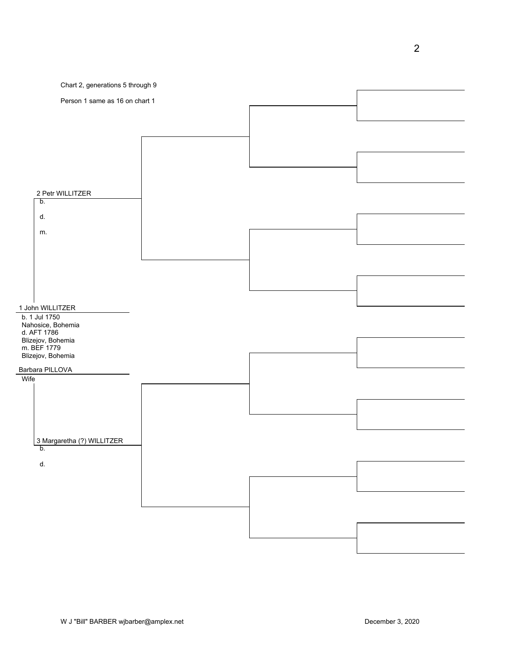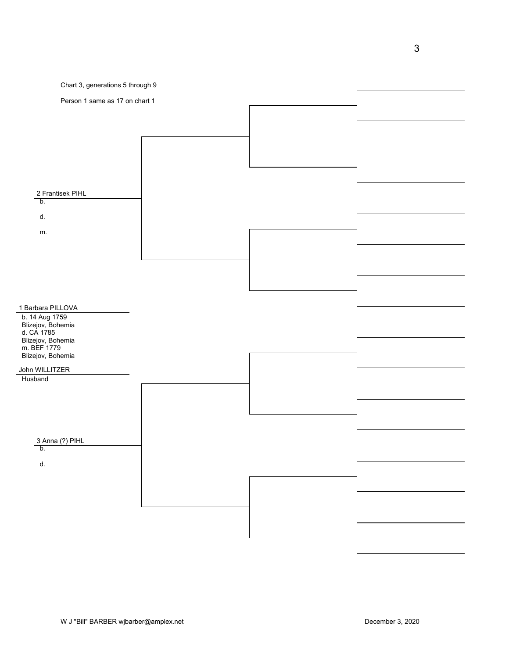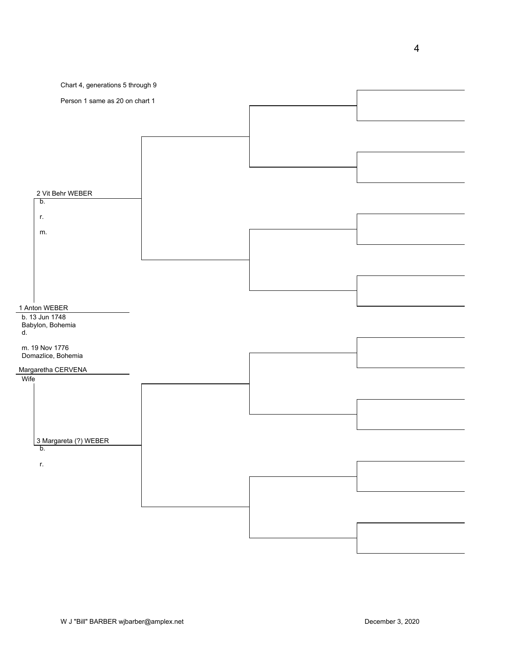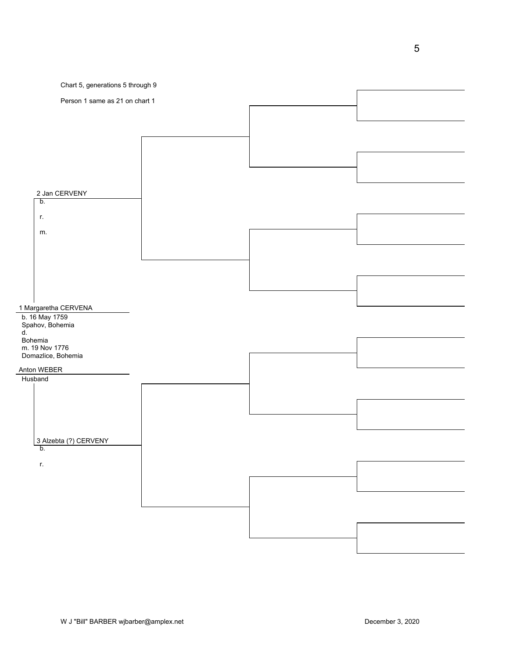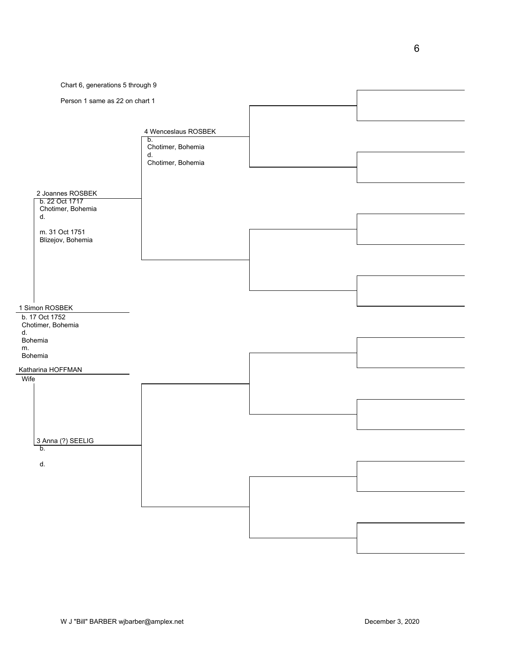